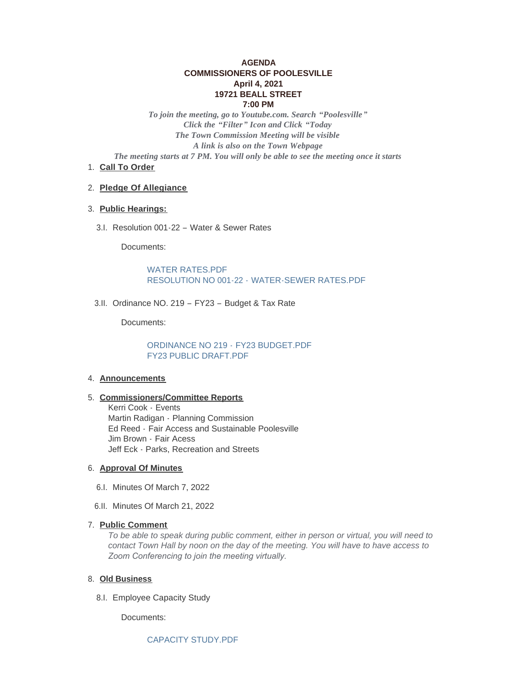# **AGENDA COMMISSIONERS OF POOLESVILLE April 4, 2021 19721 BEALL STREET 7:00 PM**

*To join the meeting, go to Youtube.com. Search "Poolesville" Click the "Filter" Icon and Click "Today The Town Commission Meeting will be visible A link is also on the Town Webpage The meeting starts at 7 PM. You will only be able to see the meeting once it starts*

1. Call To Order

### **Pledge Of Allegiance** 2.

# **Public Hearings:** 3.

3.I. Resolution 001-22 - Water & Sewer Rates

Documents:

WATER RATES PDF RESOLUTION NO 001-22 - [WATER-SEWER RATES.PDF](https://www.poolesvillemd.gov/AgendaCenter/ViewFile/Item/4176?fileID=7010)

3.II. Ordinance NO. 219 - FY23 - Budget & Tax Rate

Documents:

[ORDINANCE NO 219 -](https://www.poolesvillemd.gov/AgendaCenter/ViewFile/Item/4177?fileID=7011) FY23 BUDGET.PDF [FY23 PUBLIC DRAFT.PDF](https://www.poolesvillemd.gov/AgendaCenter/ViewFile/Item/4177?fileID=7015)

#### **Announcements** 4.

#### **Commissioners/Committee Reports** 5.

Kerri Cook - Events Martin Radigan - Planning Commission Ed Reed - Fair Access and Sustainable Poolesville Jim Brown - Fair Acess Jeff Eck - Parks, Recreation and Streets

### **Approval Of Minutes** 6.

- 6.I. Minutes Of March 7, 2022
- 6.II. Minutes Of March 21, 2022

### **Public Comment** 7.

*To be able to speak during public comment, either in person or virtual, you will need to contact Town Hall by noon on the day of the meeting. You will have to have access to Zoom Conferencing to join the meeting virtually.* 

#### **Old Business** 8.

8.I. Employee Capacity Study

Documents: